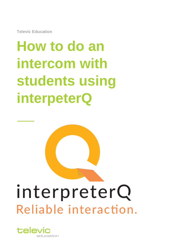**Televic Education**

# **How to do an intercom with students using interpeterQ**

# interpreterQ Reliable interaction.

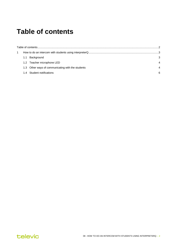### <span id="page-1-0"></span>**Table of contents**

|     | 3<br>4                                                                                                                     |
|-----|----------------------------------------------------------------------------------------------------------------------------|
| 1.1 |                                                                                                                            |
|     |                                                                                                                            |
|     | 4                                                                                                                          |
|     | ิค                                                                                                                         |
|     | Background<br>1.2 Teacher microphone LED<br>1.3 Other ways of communicating with the students<br>1.4 Student notifications |

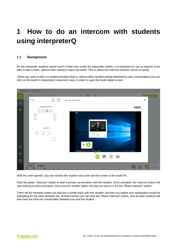## <span id="page-2-0"></span>**1 How to do an intercom with students using interpreterQ**

#### <span id="page-2-1"></span>**1.1 Background**

As the interpreter students spend much of their time inside the interpreter booths, it is important for you as teacher to be able to talk to them, without them having to leave the booth. This is where the intercom function comes in handy.

When you want to talk to a student privately (that is, without other students being disturbed by your conversation) you can click on the booth in interpreterQ classroom view, in order to open the booth detail screen:



With this view opened, you can monitor the student voice and see the screen of the booth PC.

Click the green "Intercom" button to start a private conversation with the student. Once activated, the intercom button will start pulsing to show activation, and a second smaller button will pop out next to it. It's the "Share intercom" button.

There will be moments where you discuss a certain topic with one student, but then you realize your explanation would be interesting for the other students too. At that moment you can click the "Share intercom" button, and all other students will also hear the intercom conversation between you and the student.

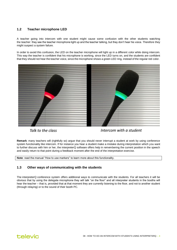#### <span id="page-3-0"></span>**1.2 Teacher microphone LED**

A teacher going into intercom with one student might cause some confusion with the other students watching the teacher: they see the teacher microphone light up and the teacher talking, but they don't hear his voice. Therefore they might suspect a system failure.

In order to avoid this confusion, the LED on the teacher microphone will light up in a different color while doing intercom. This way the teacher is confident that his microphone is working, since the LED turns on, and the students are confident that they should not hear the teacher voice, since the microphone shows a green LED ring, instead of the regular red color.



Talk to the class

Intercom with a student

**Remark**: many teachers will (rightfully so) argue that you should never interrupt a student at work by using conference system functionality like intercom. If for instance you hear a student make a mistake during interpretation which you want to further discuss with him or her, the interpreterQ software offers help in remembering the current position in the speech and easily return to that point during a feedback moment after the end of the interpretation exercise.

**Note**: read the manual "How to use markers" to learn more about this functionality.

#### <span id="page-3-1"></span>**1.3 Other ways of communicating with the students**

The interpreterQ conference system offers additional ways to communicate with the students. For all teachers it will be obvious that by using the delegate microphone they will talk "on the floor" and all interpreter students in the booths will hear the teacher – that is, provided that at that moment they are currently listening to the floor, and not to another student (through relaying) or to the sound of their booth PC.

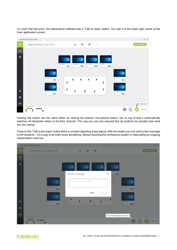To cover that last point, the interpreterQ software has a "Talk to class" button. You see it in the lower right corner of the main application screen:



Clicking this button has the same effect as clicking the teacher microphone button, but on top of that it automatically switches all interpreter desks to the floor channel. This way you can rest assured that all students do actually hear what you are saying.

Close to this "Talk to the class" button there is a button depicting a text popup. With this button you can send a text message to the students – it's a way to let them know something, without touching the conference system or interrupting an ongoing interpretation exercise.



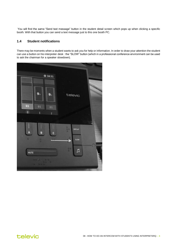You will find the same "Send text message" button in the student detail screen which pops up when clicking a specific booth. With that button you can send a text message just to this one booth PC.

#### <span id="page-5-0"></span>**1.4 Student notifications**

There may be moments when a student wants to ask you for help or information. In order to draw your attention the student can use a button on his interpreter desk : the "SLOW" button (which in a professional conference environment can be used to ask the chairman for a speaker slowdown).